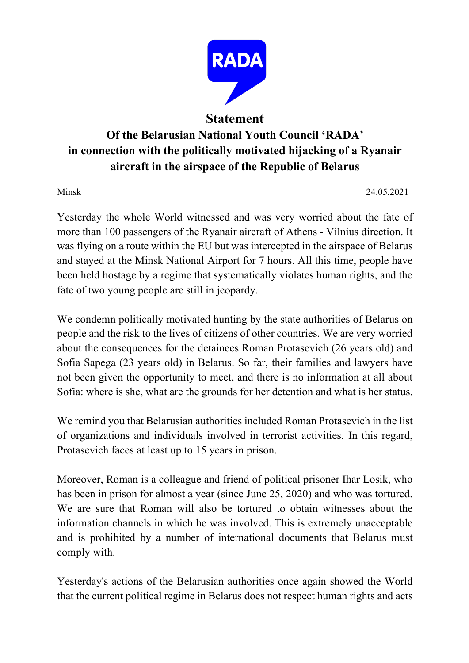

## **Statement**

## **Of the Belarusian National Youth Council 'RADA' in connection with the politically motivated hijacking of a Ryanair aircraft in the airspace of the Republic of Belarus**

Minsk 24.05.2021

Yesterday the whole World witnessed and was very worried about the fate of more than 100 passengers of the Ryanair aircraft of Athens - Vilnius direction. It was flying on a route within the EU but was intercepted in the airspace of Belarus and stayed at the Minsk National Airport for 7 hours. All this time, people have been held hostage by a regime that systematically violates human rights, and the fate of two young people are still in jeopardy.

We condemn politically motivated hunting by the state authorities of Belarus on people and the risk to the lives of citizens of other countries. We are very worried about the consequences for the detainees Roman Protasevich (26 years old) and Sofia Sapega (23 years old) in Belarus. So far, their families and lawyers have not been given the opportunity to meet, and there is no information at all about Sofia: where is she, what are the grounds for her detention and what is her status.

We remind you that Belarusian authorities included Roman Protasevich in the list of organizations and individuals involved in terrorist activities. In this regard, Protasevich faces at least up to 15 years in prison.

Moreover, Roman is a colleague and friend of political prisoner Ihar Losik, who has been in prison for almost a year (since June 25, 2020) and who was tortured. We are sure that Roman will also be tortured to obtain witnesses about the information channels in which he was involved. This is extremely unacceptable and is prohibited by a number of international documents that Belarus must comply with.

Yesterday's actions of the Belarusian authorities once again showed the World that the current political regime in Belarus does not respect human rights and acts